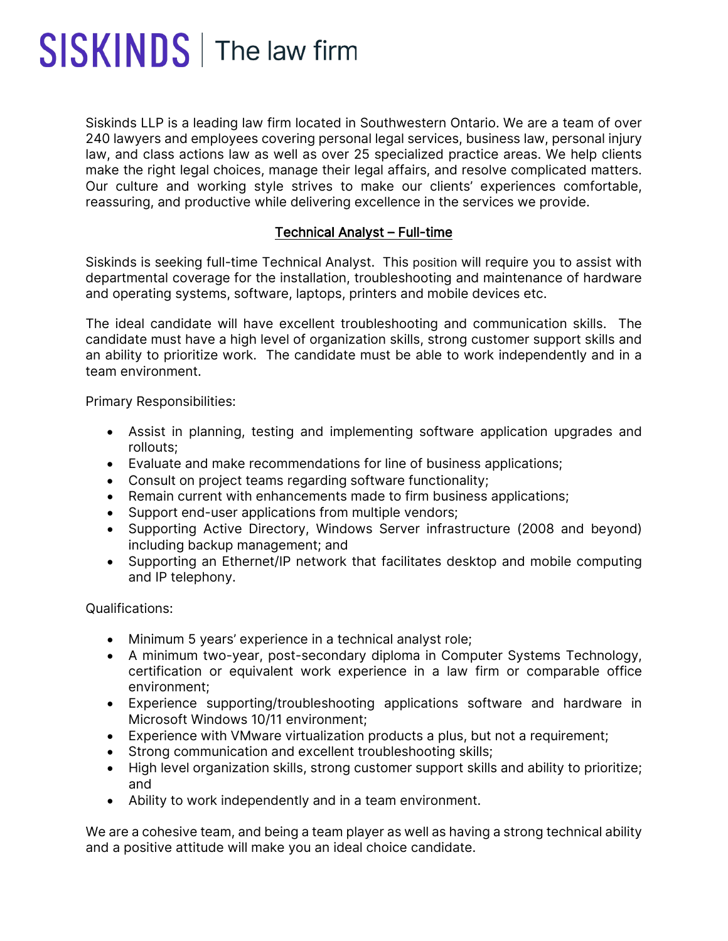## SISKINDS | The law firm

Siskinds LLP is a leading law firm located in Southwestern Ontario. We are a team of over 240 lawyers and employees covering personal legal services, business law, personal injury law, and class actions law as well as over 25 specialized practice areas. We help clients make the right legal choices, manage their legal affairs, and resolve complicated matters. Our culture and working style strives to make our clients' experiences comfortable, reassuring, and productive while delivering excellence in the services we provide.

## Technical Analyst – Full-time

Siskinds is seeking full-time Technical Analyst. This position will require you to assist with departmental coverage for the installation, troubleshooting and maintenance of hardware and operating systems, software, laptops, printers and mobile devices etc.

The ideal candidate will have excellent troubleshooting and communication skills. The candidate must have a high level of organization skills, strong customer support skills and an ability to prioritize work. The candidate must be able to work independently and in a team environment.

Primary Responsibilities:

- Assist in planning, testing and implementing software application upgrades and rollouts;
- Evaluate and make recommendations for line of business applications;
- Consult on project teams regarding software functionality;
- Remain current with enhancements made to firm business applications;
- Support end-user applications from multiple vendors;
- Supporting Active Directory, Windows Server infrastructure (2008 and beyond) including backup management; and
- Supporting an Ethernet/IP network that facilitates desktop and mobile computing and IP telephony.

Qualifications:

- Minimum 5 years' experience in a technical analyst role;
- A minimum two-year, post-secondary diploma in Computer Systems Technology, certification or equivalent work experience in a law firm or comparable office environment;
- Experience supporting/troubleshooting applications software and hardware in Microsoft Windows 10/11 environment;
- Experience with VMware virtualization products a plus, but not a requirement;
- Strong communication and excellent troubleshooting skills;
- High level organization skills, strong customer support skills and ability to prioritize; and
- Ability to work independently and in a team environment.

We are a cohesive team, and being a team player as well as having a strong technical ability and a positive attitude will make you an ideal choice candidate.